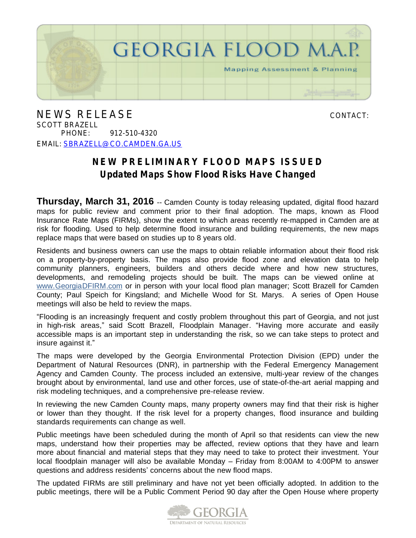

NEWS RELEASE CONTACT: SCOTT BRAZELL PHONE: 912-510-4320 EMAIL: [SBRAZELL@CO.CAMDEN.GA.US](mailto:sbrazell@co.camden.ga.us)

## **NEW PRELIMINARY FLOOD MAPS ISSUED Updated Maps Show Flood Risks Have Changed**

**Thursday, March 31, 2016** -- Camden County is today releasing updated, digital flood hazard maps for public review and comment prior to their final adoption. The maps, known as Flood Insurance Rate Maps (FIRMs), show the extent to which areas recently re-mapped in Camden are at risk for flooding. Used to help determine flood insurance and building requirements, the new maps replace maps that were based on studies up to 8 years old.

Residents and business owners can use the maps to obtain reliable information about their flood risk on a property-by-property basis. The maps also provide flood zone and elevation data to help community planners, engineers, builders and others decide where and how new structures, developments, and remodeling projects should be built. The maps can be viewed online at [www.GeorgiaDFIRM.com](http://www.georgiadfirm.com) or in person with your local flood plan manager; Scott Brazell for Camden County; Paul Speich for Kingsland; and Michelle Wood for St. Marys. A series of Open House meetings will also be held to review the maps.

"Flooding is an increasingly frequent and costly problem throughout this part of Georgia, and not just in high-risk areas," said Scott Brazell, Floodplain Manager. "Having more accurate and easily accessible maps is an important step in understanding the risk, so we can take steps to protect and insure against it."

The maps were developed by the Georgia Environmental Protection Division (EPD) under the Department of Natural Resources (DNR), in partnership with the Federal Emergency Management Agency and Camden County. The process included an extensive, multi-year review of the changes brought about by environmental, land use and other forces, use of state-of-the-art aerial mapping and risk modeling techniques, and a comprehensive pre-release review.

In reviewing the new Camden County maps, many property owners may find that their risk is higher or lower than they thought. If the risk level for a property changes, flood insurance and building standards requirements can change as well.

Public meetings have been scheduled during the month of April so that residents can view the new maps, understand how their properties may be affected, review options that they have and learn more about financial and material steps that they may need to take to protect their investment. Your local floodplain manager will also be available Monday – Friday from 8:00AM to 4:00PM to answer questions and address residents' concerns about the new flood maps.

The updated FIRMs are still preliminary and have not yet been officially adopted. In addition to the public meetings, there will be a Public Comment Period 90 day after the Open House where property